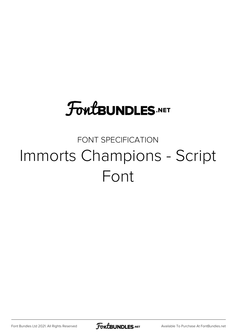## **FoutBUNDLES.NET**

## FONT SPECIFICATION Immorts Champions - Script Font

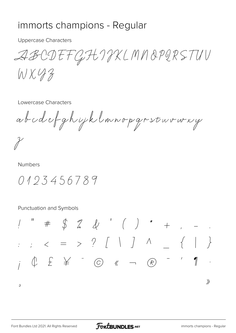## immorts champions - Regular

**Uppercase Characters** 

ABCDEFGHIJXLMNOPQRSTUV

WX43

Lowercase Characters

abodefghijklmnopgrstuvury

**Numbers** 

0193456789

Punctuation and Symbols

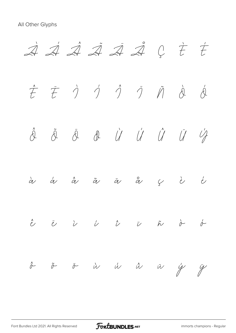

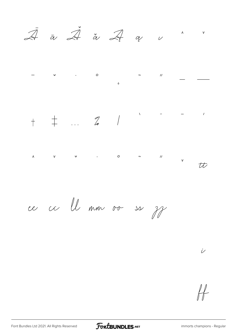$\overline{\mathcal{\mathcal{\mathcal{\mathcal{A}}}}}$   $\overline{\mathcal{\mathcal{\mathcal{A}}}}$   $\overline{\mathcal{\mathcal{A}}}$   $\overline{\mathcal{\mathcal{A}}}$   $\mathcal{\mathcal{A}}$   $\mathcal{\mathcal{U}}$   $\mathcal{\mathcal{U}}$  $\Lambda$  $\mathbf{v}$ 



ce ce ll mm ov ss ff

 $\dot{\nu}$